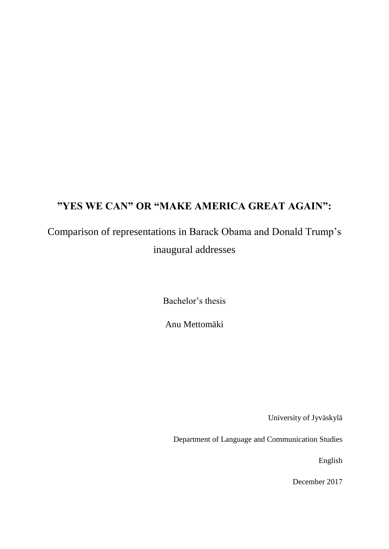# **"YES WE CAN" OR "MAKE AMERICA GREAT AGAIN":**

# Comparison of representations in Barack Obama and Donald Trump's inaugural addresses

Bachelor's thesis

Anu Mettomäki

University of Jyväskylä

Department of Language and Communication Studies

English

December 2017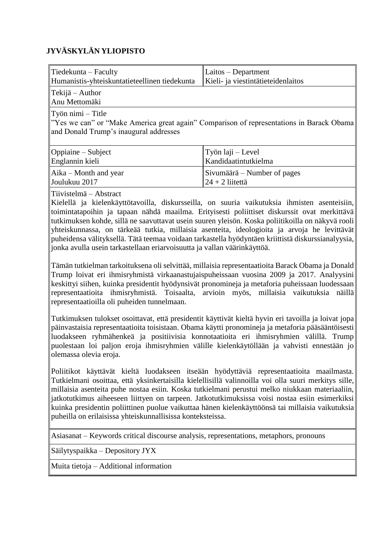# **JYVÄSKYLÄN YLIOPISTO**

| $\mathbf{\mathsf{T}\acute{i}}$ Tiedekunta – Faculty                                                                                                             | Laitos – Department                |  |  |  |  |  |
|-----------------------------------------------------------------------------------------------------------------------------------------------------------------|------------------------------------|--|--|--|--|--|
| Humanistis-yhteiskuntatieteellinen tiedekunta                                                                                                                   | Kieli- ja viestintätieteidenlaitos |  |  |  |  |  |
| $\ $ Tekijä – Author<br>Anu Mettomäki                                                                                                                           |                                    |  |  |  |  |  |
| $\vert$ Työn nimi – Title<br>"Yes we can" or "Make America great again" Comparison of representations in Barack Obama<br>and Donald Trump's inaugural addresses |                                    |  |  |  |  |  |
| Oppiaine – Subject                                                                                                                                              | Työn laji – Level                  |  |  |  |  |  |
| Englannin kieli                                                                                                                                                 | Kandidaatintutkielma               |  |  |  |  |  |
| $Aika - Month$ and year                                                                                                                                         | Sivumäärä – Number of pages        |  |  |  |  |  |
| ∥Joulukuu 2017                                                                                                                                                  | $24 + 2$ liitettä                  |  |  |  |  |  |

Tiivistelmä – Abstract

Kielellä ja kielenkäyttötavoilla, diskursseilla, on suuria vaikutuksia ihmisten asenteisiin, toimintatapoihin ja tapaan nähdä maailma. Erityisesti poliittiset diskurssit ovat merkittävä tutkimuksen kohde, sillä ne saavuttavat usein suuren yleisön. Koska poliitikoilla on näkyvä rooli yhteiskunnassa, on tärkeää tutkia, millaisia asenteita, ideologioita ja arvoja he levittävät puheidensa välityksellä. Tätä teemaa voidaan tarkastella hyödyntäen kriittistä diskurssianalyysia, jonka avulla usein tarkastellaan eriarvoisuutta ja vallan väärinkäyttöä.

Tämän tutkielman tarkoituksena oli selvittää, millaisia representaatioita Barack Obama ja Donald Trump loivat eri ihmisryhmistä virkaanastujaispuheissaan vuosina 2009 ja 2017. Analyysini keskittyi siihen, kuinka presidentit hyödynsivät pronomineja ja metaforia puheissaan luodessaan representaatioita ihmisryhmistä. Toisaalta, arvioin myös, millaisia vaikutuksia näillä representaatioilla oli puheiden tunnelmaan.

Tutkimuksen tulokset osoittavat, että presidentit käyttivät kieltä hyvin eri tavoilla ja loivat jopa päinvastaisia representaatioita toisistaan. Obama käytti pronomineja ja metaforia pääsääntöisesti luodakseen ryhmähenkeä ja positiivisia konnotaatioita eri ihmisryhmien välillä. Trump puolestaan loi paljon eroja ihmisryhmien välille kielenkäytöllään ja vahvisti ennestään jo olemassa olevia eroja.

Poliitikot käyttävät kieltä luodakseen itseään hyödyttäviä representaatioita maailmasta. Tutkielmani osoittaa, että yksinkertaisilla kielellisillä valinnoilla voi olla suuri merkitys sille, millaisia asenteita puhe nostaa esiin. Koska tutkielmani perustui melko niukkaan materiaaliin, jatkotutkimus aiheeseen liittyen on tarpeen. Jatkotutkimuksissa voisi nostaa esiin esimerkiksi kuinka presidentin poliittinen puolue vaikuttaa hänen kielenkäyttöönsä tai millaisia vaikutuksia puheilla on erilaisissa yhteiskunnallisissa konteksteissa.

Asiasanat – Keywords critical discourse analysis, representations, metaphors, pronouns

Säilytyspaikka – Depository JYX

Muita tietoja – Additional information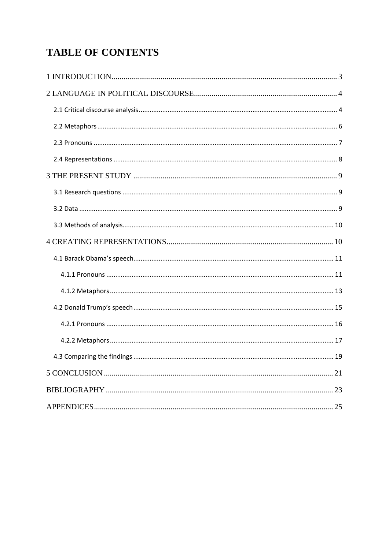# **TABLE OF CONTENTS**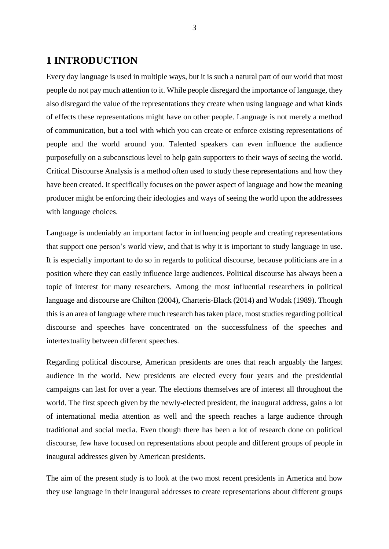# <span id="page-3-0"></span>**1 INTRODUCTION**

Every day language is used in multiple ways, but it is such a natural part of our world that most people do not pay much attention to it. While people disregard the importance of language, they also disregard the value of the representations they create when using language and what kinds of effects these representations might have on other people. Language is not merely a method of communication, but a tool with which you can create or enforce existing representations of people and the world around you. Talented speakers can even influence the audience purposefully on a subconscious level to help gain supporters to their ways of seeing the world. Critical Discourse Analysis is a method often used to study these representations and how they have been created. It specifically focuses on the power aspect of language and how the meaning producer might be enforcing their ideologies and ways of seeing the world upon the addressees with language choices.

Language is undeniably an important factor in influencing people and creating representations that support one person's world view, and that is why it is important to study language in use. It is especially important to do so in regards to political discourse, because politicians are in a position where they can easily influence large audiences. Political discourse has always been a topic of interest for many researchers. Among the most influential researchers in political language and discourse are Chilton (2004), Charteris-Black (2014) and Wodak (1989). Though this is an area of language where much research has taken place, most studies regarding political discourse and speeches have concentrated on the successfulness of the speeches and intertextuality between different speeches.

Regarding political discourse, American presidents are ones that reach arguably the largest audience in the world. New presidents are elected every four years and the presidential campaigns can last for over a year. The elections themselves are of interest all throughout the world. The first speech given by the newly-elected president, the inaugural address, gains a lot of international media attention as well and the speech reaches a large audience through traditional and social media. Even though there has been a lot of research done on political discourse, few have focused on representations about people and different groups of people in inaugural addresses given by American presidents.

The aim of the present study is to look at the two most recent presidents in America and how they use language in their inaugural addresses to create representations about different groups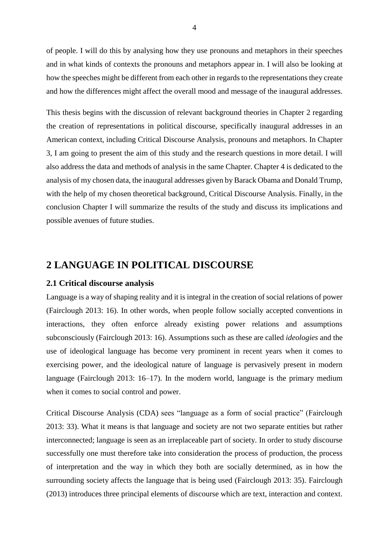of people. I will do this by analysing how they use pronouns and metaphors in their speeches and in what kinds of contexts the pronouns and metaphors appear in. I will also be looking at how the speeches might be different from each other in regards to the representations they create and how the differences might affect the overall mood and message of the inaugural addresses.

This thesis begins with the discussion of relevant background theories in Chapter 2 regarding the creation of representations in political discourse, specifically inaugural addresses in an American context, including Critical Discourse Analysis, pronouns and metaphors. In Chapter 3, I am going to present the aim of this study and the research questions in more detail. I will also address the data and methods of analysis in the same Chapter. Chapter 4 is dedicated to the analysis of my chosen data, the inaugural addresses given by Barack Obama and Donald Trump, with the help of my chosen theoretical background, Critical Discourse Analysis. Finally, in the conclusion Chapter I will summarize the results of the study and discuss its implications and possible avenues of future studies.

# <span id="page-4-0"></span>**2 LANGUAGE IN POLITICAL DISCOURSE**

#### <span id="page-4-1"></span>**2.1 Critical discourse analysis**

Language is a way of shaping reality and it is integral in the creation of social relations of power (Fairclough 2013: 16). In other words, when people follow socially accepted conventions in interactions, they often enforce already existing power relations and assumptions subconsciously (Fairclough 2013: 16). Assumptions such as these are called *ideologies* and the use of ideological language has become very prominent in recent years when it comes to exercising power, and the ideological nature of language is pervasively present in modern language (Fairclough 2013: 16–17). In the modern world, language is the primary medium when it comes to social control and power.

Critical Discourse Analysis (CDA) sees "language as a form of social practice" (Fairclough 2013: 33). What it means is that language and society are not two separate entities but rather interconnected; language is seen as an irreplaceable part of society. In order to study discourse successfully one must therefore take into consideration the process of production, the process of interpretation and the way in which they both are socially determined, as in how the surrounding society affects the language that is being used (Fairclough 2013: 35). Fairclough (2013) introduces three principal elements of discourse which are text, interaction and context.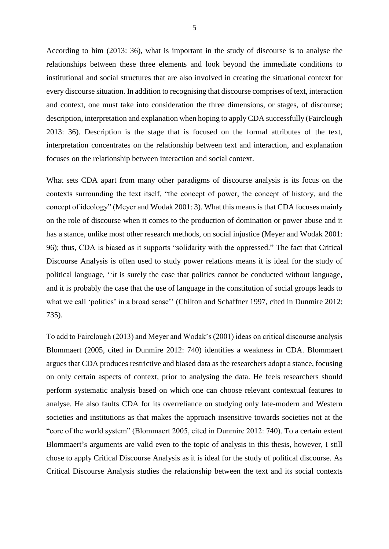According to him (2013: 36), what is important in the study of discourse is to analyse the relationships between these three elements and look beyond the immediate conditions to institutional and social structures that are also involved in creating the situational context for every discourse situation. In addition to recognising that discourse comprises of text, interaction and context, one must take into consideration the three dimensions, or stages, of discourse; description, interpretation and explanation when hoping to apply CDA successfully (Fairclough 2013: 36). Description is the stage that is focused on the formal attributes of the text, interpretation concentrates on the relationship between text and interaction, and explanation focuses on the relationship between interaction and social context.

What sets CDA apart from many other paradigms of discourse analysis is its focus on the contexts surrounding the text itself, "the concept of power, the concept of history, and the concept of ideology" (Meyer and Wodak 2001: 3). What this means is that CDA focuses mainly on the role of discourse when it comes to the production of domination or power abuse and it has a stance, unlike most other research methods, on social injustice (Meyer and Wodak 2001: 96); thus, CDA is biased as it supports "solidarity with the oppressed." The fact that Critical Discourse Analysis is often used to study power relations means it is ideal for the study of political language, ''it is surely the case that politics cannot be conducted without language, and it is probably the case that the use of language in the constitution of social groups leads to what we call 'politics' in a broad sense'' (Chilton and Schaffner 1997, cited in Dunmire 2012: 735).

To add to Fairclough (2013) and Meyer and Wodak's (2001) ideas on critical discourse analysis Blommaert (2005, cited in Dunmire 2012: 740) identifies a weakness in CDA. Blommaert argues that CDA produces restrictive and biased data as the researchers adopt a stance, focusing on only certain aspects of context, prior to analysing the data. He feels researchers should perform systematic analysis based on which one can choose relevant contextual features to analyse. He also faults CDA for its overreliance on studying only late-modern and Western societies and institutions as that makes the approach insensitive towards societies not at the "core of the world system" (Blommaert 2005, cited in Dunmire 2012: 740). To a certain extent Blommaert's arguments are valid even to the topic of analysis in this thesis, however, I still chose to apply Critical Discourse Analysis as it is ideal for the study of political discourse. As Critical Discourse Analysis studies the relationship between the text and its social contexts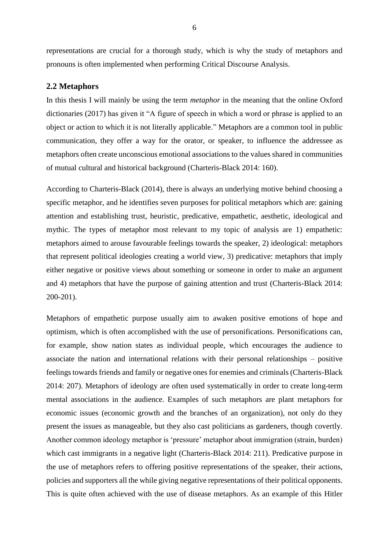representations are crucial for a thorough study, which is why the study of metaphors and pronouns is often implemented when performing Critical Discourse Analysis.

#### <span id="page-6-0"></span>**2.2 Metaphors**

In this thesis I will mainly be using the term *metaphor* in the meaning that the online Oxford dictionaries (2017) has given it "A figure of speech in which a word or phrase is applied to an object or action to which it is not literally applicable." Metaphors are a common tool in public communication, they offer a way for the orator, or speaker, to influence the addressee as metaphors often create unconscious emotional associations to the values shared in communities of mutual cultural and historical background (Charteris-Black 2014: 160).

According to Charteris-Black (2014), there is always an underlying motive behind choosing a specific metaphor, and he identifies seven purposes for political metaphors which are: gaining attention and establishing trust, heuristic, predicative, empathetic, aesthetic, ideological and mythic. The types of metaphor most relevant to my topic of analysis are 1) empathetic: metaphors aimed to arouse favourable feelings towards the speaker, 2) ideological: metaphors that represent political ideologies creating a world view, 3) predicative: metaphors that imply either negative or positive views about something or someone in order to make an argument and 4) metaphors that have the purpose of gaining attention and trust (Charteris-Black 2014: 200-201).

Metaphors of empathetic purpose usually aim to awaken positive emotions of hope and optimism, which is often accomplished with the use of personifications. Personifications can, for example, show nation states as individual people, which encourages the audience to associate the nation and international relations with their personal relationships – positive feelings towards friends and family or negative ones for enemies and criminals (Charteris-Black 2014: 207). Metaphors of ideology are often used systematically in order to create long-term mental associations in the audience. Examples of such metaphors are plant metaphors for economic issues (economic growth and the branches of an organization), not only do they present the issues as manageable, but they also cast politicians as gardeners, though covertly. Another common ideology metaphor is 'pressure' metaphor about immigration (strain, burden) which cast immigrants in a negative light (Charteris-Black 2014: 211). Predicative purpose in the use of metaphors refers to offering positive representations of the speaker, their actions, policies and supporters all the while giving negative representations of their political opponents. This is quite often achieved with the use of disease metaphors. As an example of this Hitler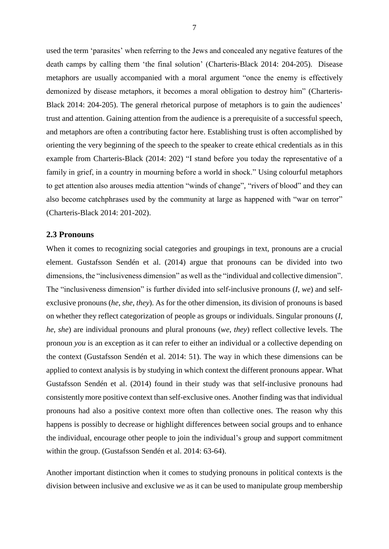used the term 'parasites' when referring to the Jews and concealed any negative features of the death camps by calling them 'the final solution' (Charteris-Black 2014: 204-205). Disease metaphors are usually accompanied with a moral argument "once the enemy is effectively demonized by disease metaphors, it becomes a moral obligation to destroy him" (Charteris-Black 2014: 204-205). The general rhetorical purpose of metaphors is to gain the audiences' trust and attention. Gaining attention from the audience is a prerequisite of a successful speech, and metaphors are often a contributing factor here. Establishing trust is often accomplished by orienting the very beginning of the speech to the speaker to create ethical credentials as in this example from Charteris-Black (2014: 202) "I stand before you today the representative of a family in grief, in a country in mourning before a world in shock." Using colourful metaphors to get attention also arouses media attention "winds of change", "rivers of blood" and they can also become catchphrases used by the community at large as happened with "war on terror" (Charteris-Black 2014: 201-202).

#### <span id="page-7-0"></span>**2.3 Pronouns**

When it comes to recognizing social categories and groupings in text, pronouns are a crucial element. Gustafsson Sendén et al. (2014) argue that pronouns can be divided into two dimensions, the "inclusiveness dimension" as well as the "individual and collective dimension". The "inclusiveness dimension" is further divided into self-inclusive pronouns (*I*, *we*) and selfexclusive pronouns (*he*, *she*, *they*). As for the other dimension, its division of pronouns is based on whether they reflect categorization of people as groups or individuals. Singular pronouns (*I*, *he*, *she*) are individual pronouns and plural pronouns (*we*, *they*) reflect collective levels. The pronoun *you* is an exception as it can refer to either an individual or a collective depending on the context (Gustafsson Sendén et al. 2014: 51). The way in which these dimensions can be applied to context analysis is by studying in which context the different pronouns appear. What Gustafsson Sendén et al. (2014) found in their study was that self-inclusive pronouns had consistently more positive context than self-exclusive ones. Another finding was that individual pronouns had also a positive context more often than collective ones. The reason why this happens is possibly to decrease or highlight differences between social groups and to enhance the individual, encourage other people to join the individual's group and support commitment within the group. (Gustafsson Sendén et al. 2014: 63-64).

Another important distinction when it comes to studying pronouns in political contexts is the division between inclusive and exclusive *we* as it can be used to manipulate group membership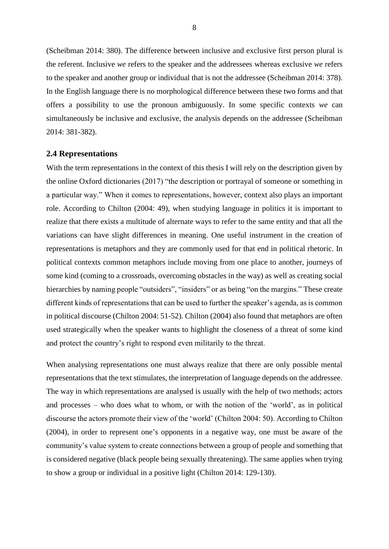(Scheibman 2014: 380). The difference between inclusive and exclusive first person plural is the referent. Inclusive *we* refers to the speaker and the addressees whereas exclusive *we* refers to the speaker and another group or individual that is not the addressee (Scheibman 2014: 378). In the English language there is no morphological difference between these two forms and that offers a possibility to use the pronoun ambiguously. In some specific contexts *we* can simultaneously be inclusive and exclusive, the analysis depends on the addressee (Scheibman 2014: 381-382).

#### <span id="page-8-0"></span>**2.4 Representations**

With the term representations in the context of this thesis I will rely on the description given by the online Oxford dictionaries (2017) "the description or portrayal of someone or something in a particular way." When it comes to representations, however, context also plays an important role. According to Chilton (2004: 49), when studying language in politics it is important to realize that there exists a multitude of alternate ways to refer to the same entity and that all the variations can have slight differences in meaning. One useful instrument in the creation of representations is metaphors and they are commonly used for that end in political rhetoric. In political contexts common metaphors include moving from one place to another, journeys of some kind (coming to a crossroads, overcoming obstacles in the way) as well as creating social hierarchies by naming people "outsiders", "insiders" or as being "on the margins." These create different kinds of representations that can be used to further the speaker's agenda, as is common in political discourse (Chilton 2004: 51-52). Chilton (2004) also found that metaphors are often used strategically when the speaker wants to highlight the closeness of a threat of some kind and protect the country's right to respond even militarily to the threat.

When analysing representations one must always realize that there are only possible mental representations that the text stimulates, the interpretation of language depends on the addressee. The way in which representations are analysed is usually with the help of two methods; actors and processes – who does what to whom, or with the notion of the 'world', as in political discourse the actors promote their view of the 'world' (Chilton 2004: 50). According to Chilton (2004), in order to represent one's opponents in a negative way, one must be aware of the community's value system to create connections between a group of people and something that is considered negative (black people being sexually threatening). The same applies when trying to show a group or individual in a positive light (Chilton 2014: 129-130).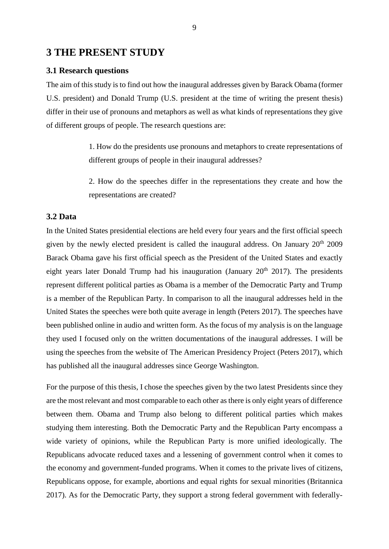## <span id="page-9-0"></span>**3 THE PRESENT STUDY**

## <span id="page-9-1"></span>**3.1 Research questions**

The aim of this study is to find out how the inaugural addresses given by Barack Obama (former U.S. president) and Donald Trump (U.S. president at the time of writing the present thesis) differ in their use of pronouns and metaphors as well as what kinds of representations they give of different groups of people. The research questions are:

> 1. How do the presidents use pronouns and metaphors to create representations of different groups of people in their inaugural addresses?

> 2. How do the speeches differ in the representations they create and how the representations are created?

## <span id="page-9-2"></span>**3.2 Data**

In the United States presidential elections are held every four years and the first official speech given by the newly elected president is called the inaugural address. On January 20th 2009 Barack Obama gave his first official speech as the President of the United States and exactly eight years later Donald Trump had his inauguration (January  $20<sup>th</sup> 2017$ ). The presidents represent different political parties as Obama is a member of the Democratic Party and Trump is a member of the Republican Party. In comparison to all the inaugural addresses held in the United States the speeches were both quite average in length (Peters 2017). The speeches have been published online in audio and written form. As the focus of my analysis is on the language they used I focused only on the written documentations of the inaugural addresses. I will be using the speeches from the website of The American Presidency Project (Peters 2017), which has published all the inaugural addresses since George Washington.

For the purpose of this thesis, I chose the speeches given by the two latest Presidents since they are the most relevant and most comparable to each other as there is only eight years of difference between them. Obama and Trump also belong to different political parties which makes studying them interesting. Both the Democratic Party and the Republican Party encompass a wide variety of opinions, while the Republican Party is more unified ideologically. The Republicans advocate reduced taxes and a lessening of government control when it comes to the economy and government-funded programs. When it comes to the private lives of citizens, Republicans oppose, for example, abortions and equal rights for sexual minorities (Britannica 2017). As for the Democratic Party, they support a strong federal government with federally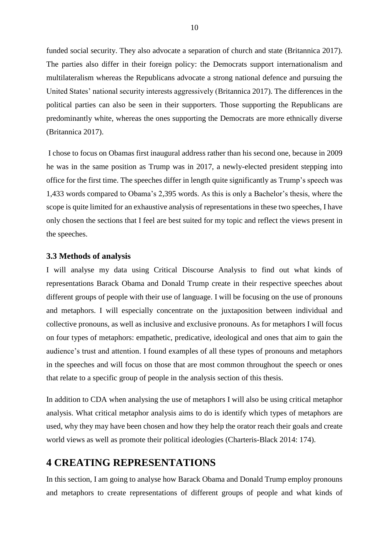funded social security. They also advocate a separation of church and state (Britannica 2017). The parties also differ in their foreign policy: the Democrats support internationalism and multilateralism whereas the Republicans advocate a strong national defence and pursuing the United States' national security interests aggressively [\(Britannica](https://www.britannica.com/topic/Democratic-Party#toc233982) 2017). The differences in the political parties can also be seen in their supporters. Those supporting the Republicans are predominantly white, whereas the ones supporting the Democrats are more ethnically diverse (Britannica 2017).

I chose to focus on Obamas first inaugural address rather than his second one, because in 2009 he was in the same position as Trump was in 2017, a newly-elected president stepping into office for the first time. The speeches differ in length quite significantly as Trump's speech was 1,433 words compared to Obama's 2,395 words. As this is only a Bachelor's thesis, where the scope is quite limited for an exhaustive analysis of representations in these two speeches, I have only chosen the sections that I feel are best suited for my topic and reflect the views present in the speeches.

#### <span id="page-10-0"></span>**3.3 Methods of analysis**

I will analyse my data using Critical Discourse Analysis to find out what kinds of representations Barack Obama and Donald Trump create in their respective speeches about different groups of people with their use of language. I will be focusing on the use of pronouns and metaphors. I will especially concentrate on the juxtaposition between individual and collective pronouns, as well as inclusive and exclusive pronouns. As for metaphors I will focus on four types of metaphors: empathetic, predicative, ideological and ones that aim to gain the audience's trust and attention. I found examples of all these types of pronouns and metaphors in the speeches and will focus on those that are most common throughout the speech or ones that relate to a specific group of people in the analysis section of this thesis.

In addition to CDA when analysing the use of metaphors I will also be using critical metaphor analysis. What critical metaphor analysis aims to do is identify which types of metaphors are used, why they may have been chosen and how they help the orator reach their goals and create world views as well as promote their political ideologies (Charteris-Black 2014: 174).

## <span id="page-10-1"></span>**4 CREATING REPRESENTATIONS**

In this section, I am going to analyse how Barack Obama and Donald Trump employ pronouns and metaphors to create representations of different groups of people and what kinds of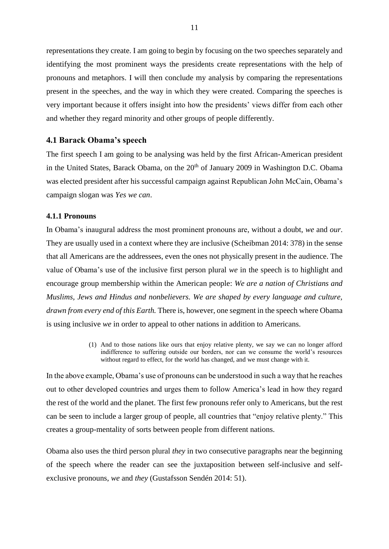representations they create. I am going to begin by focusing on the two speeches separately and identifying the most prominent ways the presidents create representations with the help of pronouns and metaphors. I will then conclude my analysis by comparing the representations present in the speeches, and the way in which they were created. Comparing the speeches is very important because it offers insight into how the presidents' views differ from each other and whether they regard minority and other groups of people differently.

#### <span id="page-11-0"></span>**4.1 Barack Obama's speech**

The first speech I am going to be analysing was held by the first African-American president in the United States, Barack Obama, on the  $20<sup>th</sup>$  of January 2009 in Washington D.C. Obama was elected president after his successful campaign against Republican John McCain, Obama's campaign slogan was *Yes we can*.

#### <span id="page-11-1"></span>**4.1.1 Pronouns**

In Obama's inaugural address the most prominent pronouns are, without a doubt, *we* and *our*. They are usually used in a context where they are inclusive (Scheibman 2014: 378) in the sense that all Americans are the addressees, even the ones not physically present in the audience. The value of Obama's use of the inclusive first person plural *we* in the speech is to highlight and encourage group membership within the American people: *We are a nation of Christians and Muslims, Jews and Hindus and nonbelievers. We are shaped by every language and culture, drawn from every end of this Earth.* There is, however, one segment in the speech where Obama is using inclusive *we* in order to appeal to other nations in addition to Americans.

> (1) And to those nations like ours that enjoy relative plenty, we say we can no longer afford indifference to suffering outside our borders, nor can we consume the world's resources without regard to effect, for the world has changed, and we must change with it.

In the above example, Obama's use of pronouns can be understood in such a way that he reaches out to other developed countries and urges them to follow America's lead in how they regard the rest of the world and the planet. The first few pronouns refer only to Americans, but the rest can be seen to include a larger group of people, all countries that "enjoy relative plenty." This creates a group-mentality of sorts between people from different nations.

Obama also uses the third person plural *they* in two consecutive paragraphs near the beginning of the speech where the reader can see the juxtaposition between self-inclusive and selfexclusive pronouns, *we* and *they* (Gustafsson Sendén 2014: 51).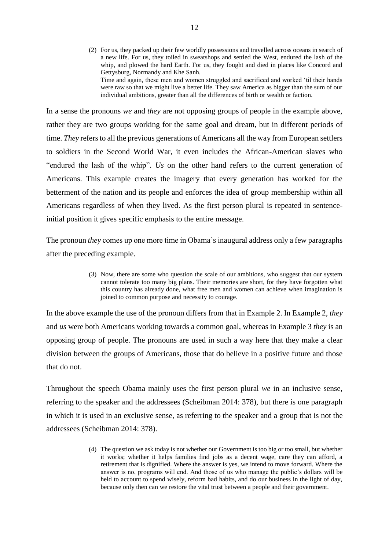(2) For us, they packed up their few worldly possessions and travelled across oceans in search of a new life. For us, they toiled in sweatshops and settled the West, endured the lash of the whip, and plowed the hard Earth. For us, they fought and died in places like Concord and Gettysburg, Normandy and Khe Sanh. Time and again, these men and women struggled and sacrificed and worked 'til their hands were raw so that we might live a better life. They saw America as bigger than the sum of our individual ambitions, greater than all the differences of birth or wealth or faction.

In a sense the pronouns *we* and *they* are not opposing groups of people in the example above, rather they are two groups working for the same goal and dream, but in different periods of time. *They* refers to all the previous generations of Americans all the way from European settlers to soldiers in the Second World War, it even includes the African-American slaves who "endured the lash of the whip". *Us* on the other hand refers to the current generation of Americans. This example creates the imagery that every generation has worked for the betterment of the nation and its people and enforces the idea of group membership within all Americans regardless of when they lived. As the first person plural is repeated in sentenceinitial position it gives specific emphasis to the entire message.

The pronoun *they* comes up one more time in Obama's inaugural address only a few paragraphs after the preceding example.

> (3) Now, there are some who question the scale of our ambitions, who suggest that our system cannot tolerate too many big plans. Their memories are short, for they have forgotten what this country has already done, what free men and women can achieve when imagination is joined to common purpose and necessity to courage.

In the above example the use of the pronoun differs from that in Example 2. In Example 2, *they* and *us* were both Americans working towards a common goal, whereas in Example 3 *they* is an opposing group of people. The pronouns are used in such a way here that they make a clear division between the groups of Americans, those that do believe in a positive future and those that do not.

Throughout the speech Obama mainly uses the first person plural *we* in an inclusive sense, referring to the speaker and the addressees (Scheibman 2014: 378), but there is one paragraph in which it is used in an exclusive sense, as referring to the speaker and a group that is not the addressees (Scheibman 2014: 378).

> (4) The question we ask today is not whether our Government is too big or too small, but whether it works; whether it helps families find jobs as a decent wage, care they can afford, a retirement that is dignified. Where the answer is yes, we intend to move forward. Where the answer is no, programs will end. And those of us who manage the public's dollars will be held to account to spend wisely, reform bad habits, and do our business in the light of day, because only then can we restore the vital trust between a people and their government.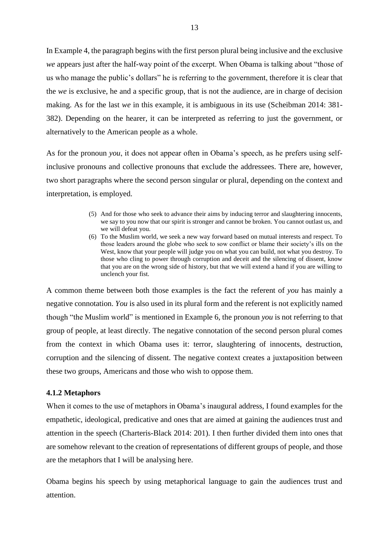In Example 4, the paragraph begins with the first person plural being inclusive and the exclusive *we* appears just after the half-way point of the excerpt. When Obama is talking about "those of us who manage the public's dollars" he is referring to the government, therefore it is clear that the *we* is exclusive, he and a specific group, that is not the audience, are in charge of decision making. As for the last *we* in this example, it is ambiguous in its use (Scheibman 2014: 381- 382). Depending on the hearer, it can be interpreted as referring to just the government, or alternatively to the American people as a whole.

As for the pronoun *you*, it does not appear often in Obama's speech, as he prefers using selfinclusive pronouns and collective pronouns that exclude the addressees. There are, however, two short paragraphs where the second person singular or plural, depending on the context and interpretation, is employed.

- (5) And for those who seek to advance their aims by inducing terror and slaughtering innocents, we say to you now that our spirit is stronger and cannot be broken. You cannot outlast us, and we will defeat you.
- (6) To the Muslim world, we seek a new way forward based on mutual interests and respect. To those leaders around the globe who seek to sow conflict or blame their society's ills on the West, know that your people will judge you on what you can build, not what you destroy. To those who cling to power through corruption and deceit and the silencing of dissent, know that you are on the wrong side of history, but that we will extend a hand if you are willing to unclench your fist.

A common theme between both those examples is the fact the referent of *you* has mainly a negative connotation. *You* is also used in its plural form and the referent is not explicitly named though "the Muslim world" is mentioned in Example 6, the pronoun *you* is not referring to that group of people, at least directly. The negative connotation of the second person plural comes from the context in which Obama uses it: terror, slaughtering of innocents, destruction, corruption and the silencing of dissent. The negative context creates a juxtaposition between these two groups, Americans and those who wish to oppose them.

#### <span id="page-13-0"></span>**4.1.2 Metaphors**

When it comes to the use of metaphors in Obama's inaugural address, I found examples for the empathetic, ideological, predicative and ones that are aimed at gaining the audiences trust and attention in the speech (Charteris-Black 2014: 201). I then further divided them into ones that are somehow relevant to the creation of representations of different groups of people, and those are the metaphors that I will be analysing here.

Obama begins his speech by using metaphorical language to gain the audiences trust and attention.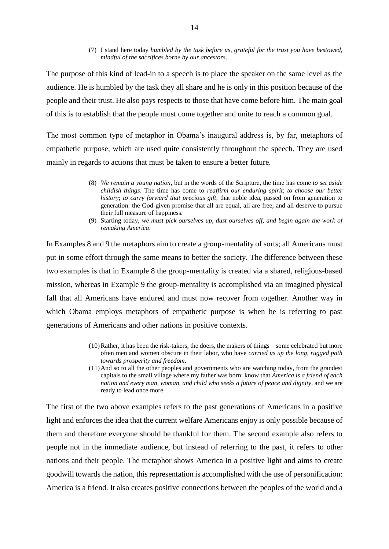(7) I stand here today *humbled by the task before us*, *grateful for the trust you have bestowed*, *mindful of the sacrifices borne by our ancestors*.

The purpose of this kind of lead-in to a speech is to place the speaker on the same level as the audience. He is humbled by the task they all share and he is only in this position because of the people and their trust. He also pays respects to those that have come before him. The main goal of this is to establish that the people must come together and unite to reach a common goal.

The most common type of metaphor in Obama's inaugural address is, by far, metaphors of empathetic purpose, which are used quite consistently throughout the speech. They are used mainly in regards to actions that must be taken to ensure a better future.

- (8) *We remain a young nation*, but in the words of the Scripture, the time has come *to set aside childish things*. The time has come to *reaffirm our enduring spirit*; *to choose our better history*; *to carry forward that precious gift*, that noble idea, passed on from generation to generation: the God-given promise that all are equal, all are free, and all deserve to pursue their full measure of happiness.
- (9) Starting today, *we must pick ourselves up, dust ourselves off, and begin again the work of remaking America*.

In Examples 8 and 9 the metaphors aim to create a group-mentality of sorts; all Americans must put in some effort through the same means to better the society. The difference between these two examples is that in Example 8 the group-mentality is created via a shared, religious-based mission, whereas in Example 9 the group-mentality is accomplished via an imagined physical fall that all Americans have endured and must now recover from together. Another way in which Obama employs metaphors of empathetic purpose is when he is referring to past generations of Americans and other nations in positive contexts.

- (10)Rather, it has been the risk-takers, the doers, the makers of things some celebrated but more often men and women obscure in their labor, who have *carried us up the long, rugged path towards prosperity and freedom*.
- (11)And so to all the other peoples and governments who are watching today, from the grandest capitals to the small village where my father was born: know that *America is a friend of each nation and every man, woman, and child who seeks a future of peace and dignity*, and we are ready to lead once more.

The first of the two above examples refers to the past generations of Americans in a positive light and enforces the idea that the current welfare Americans enjoy is only possible because of them and therefore everyone should be thankful for them. The second example also refers to people not in the immediate audience, but instead of referring to the past, it refers to other nations and their people. The metaphor shows America in a positive light and aims to create goodwill towards the nation, this representation is accomplished with the use of personification: America is a friend. It also creates positive connections between the peoples of the world and a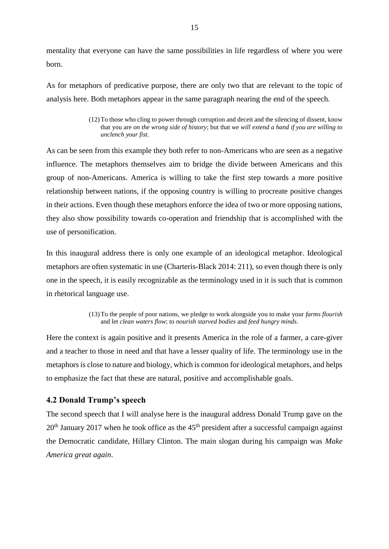mentality that everyone can have the same possibilities in life regardless of where you were born.

As for metaphors of predicative purpose, there are only two that are relevant to the topic of analysis here. Both metaphors appear in the same paragraph nearing the end of the speech.

As can be seen from this example they both refer to non-Americans who are seen as a negative influence. The metaphors themselves aim to bridge the divide between Americans and this group of non-Americans. America is willing to take the first step towards a more positive relationship between nations, if the opposing country is willing to procreate positive changes in their actions. Even though these metaphors enforce the idea of two or more opposing nations, they also show possibility towards co-operation and friendship that is accomplished with the use of personification.

In this inaugural address there is only one example of an ideological metaphor. Ideological metaphors are often systematic in use (Charteris-Black 2014: 211), so even though there is only one in the speech, it is easily recognizable as the terminology used in it is such that is common in rhetorical language use.

> (13)To the people of poor nations, we pledge to work alongside you to make your *farms flourish* and let *clean waters flow*; to *nourish starved bodies* and *feed hungry minds*.

Here the context is again positive and it presents America in the role of a farmer, a care-giver and a teacher to those in need and that have a lesser quality of life. The terminology use in the metaphors is close to nature and biology, which is common for ideological metaphors, and helps to emphasize the fact that these are natural, positive and accomplishable goals.

## <span id="page-15-0"></span>**4.2 Donald Trump's speech**

The second speech that I will analyse here is the inaugural address Donald Trump gave on the  $20<sup>th</sup>$  January 2017 when he took office as the 45<sup>th</sup> president after a successful campaign against the Democratic candidate, Hillary Clinton. The main slogan during his campaign was *Make America great again*.

<sup>(12)</sup>To those who cling to power through corruption and deceit and the silencing of dissent, know that you are *on the wrong side of history*; but that *we will extend a hand if you are willing to unclench your fist*.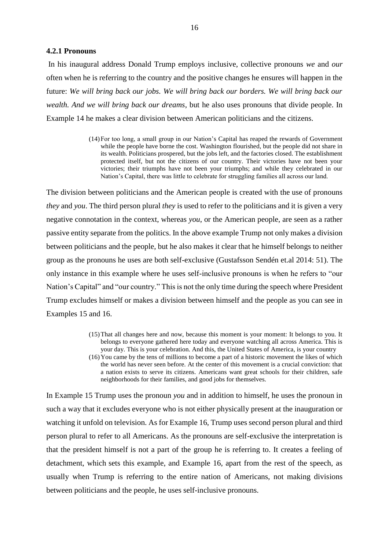#### <span id="page-16-0"></span>**4.2.1 Pronouns**

In his inaugural address Donald Trump employs inclusive, collective pronouns *we* and *our* often when he is referring to the country and the positive changes he ensures will happen in the future: *We will bring back our jobs. We will bring back our borders. We will bring back our wealth. And we will bring back our dreams*, but he also uses pronouns that divide people. In Example 14 he makes a clear division between American politicians and the citizens.

> (14)For too long, a small group in our Nation's Capital has reaped the rewards of Government while the people have borne the cost. Washington flourished, but the people did not share in its wealth. Politicians prospered, but the jobs left, and the factories closed. The establishment protected itself, but not the citizens of our country. Their victories have not been your victories; their triumphs have not been your triumphs; and while they celebrated in our Nation's Capital, there was little to celebrate for struggling families all across our land.

The division between politicians and the American people is created with the use of pronouns *they* and *you*. The third person plural *they* is used to refer to the politicians and it is given a very negative connotation in the context, whereas *you*, or the American people, are seen as a rather passive entity separate from the politics. In the above example Trump not only makes a division between politicians and the people, but he also makes it clear that he himself belongs to neither group as the pronouns he uses are both self-exclusive (Gustafsson Sendén et.al 2014: 51). The only instance in this example where he uses self-inclusive pronouns is when he refers to "our Nation's Capital" and "our country." This is not the only time during the speech where President Trump excludes himself or makes a division between himself and the people as you can see in Examples 15 and 16.

- (15)That all changes here and now, because this moment is your moment: It belongs to you. It belongs to everyone gathered here today and everyone watching all across America. This is your day. This is your celebration. And this, the United States of America, is your country
- (16)You came by the tens of millions to become a part of a historic movement the likes of which the world has never seen before. At the center of this movement is a crucial conviction: that a nation exists to serve its citizens. Americans want great schools for their children, safe neighborhoods for their families, and good jobs for themselves.

In Example 15 Trump uses the pronoun *you* and in addition to himself, he uses the pronoun in such a way that it excludes everyone who is not either physically present at the inauguration or watching it unfold on television. As for Example 16, Trump uses second person plural and third person plural to refer to all Americans. As the pronouns are self-exclusive the interpretation is that the president himself is not a part of the group he is referring to. It creates a feeling of detachment, which sets this example, and Example 16, apart from the rest of the speech, as usually when Trump is referring to the entire nation of Americans, not making divisions between politicians and the people, he uses self-inclusive pronouns.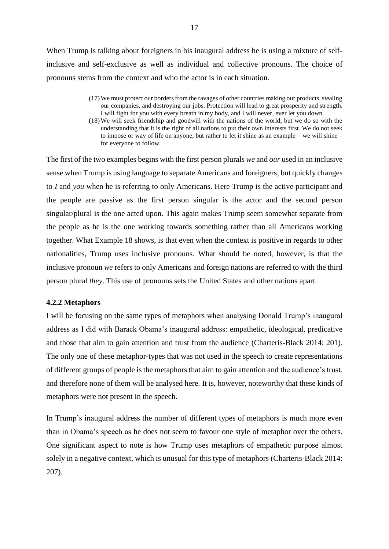When Trump is talking about foreigners in his inaugural address he is using a mixture of selfinclusive and self-exclusive as well as individual and collective pronouns. The choice of pronouns stems from the context and who the actor is in each situation.

- (17)We must protect our borders from the ravages of other countries making our products, stealing our companies, and destroying our jobs. Protection will lead to great prosperity and strength. I will fight for you with every breath in my body, and I will never, ever let you down.
- (18)We will seek friendship and goodwill with the nations of the world, but we do so with the understanding that it is the right of all nations to put their own interests first. We do not seek to impose or way of life on anyone, but rather to let it shine as an example – we will shine – for everyone to follow.

The first of the two examples begins with the first person plurals *we* and *our* used in an inclusive sense when Trump is using language to separate Americans and foreigners, but quickly changes to *I* and *you* when he is referring to only Americans. Here Trump is the active participant and the people are passive as the first person singular is the actor and the second person singular/plural is the one acted upon. This again makes Trump seem somewhat separate from the people as he is the one working towards something rather than all Americans working together. What Example 18 shows, is that even when the context is positive in regards to other nationalities, Trump uses inclusive pronouns. What should be noted, however, is that the inclusive pronoun *we* refers to only Americans and foreign nations are referred to with the third person plural *they*. This use of pronouns sets the United States and other nations apart.

#### <span id="page-17-0"></span>**4.2.2 Metaphors**

I will be focusing on the same types of metaphors when analysing Donald Trump's inaugural address as I did with Barack Obama's inaugural address: empathetic, ideological, predicative and those that aim to gain attention and trust from the audience (Charteris-Black 2014: 201). The only one of these metaphor-types that was not used in the speech to create representations of different groups of people is the metaphors that aim to gain attention and the audience's trust, and therefore none of them will be analysed here. It is, however, noteworthy that these kinds of metaphors were not present in the speech.

In Trump's inaugural address the number of different types of metaphors is much more even than in Obama's speech as he does not seem to favour one style of metaphor over the others. One significant aspect to note is how Trump uses metaphors of empathetic purpose almost solely in a negative context, which is unusual for this type of metaphors (Charteris-Black 2014: 207).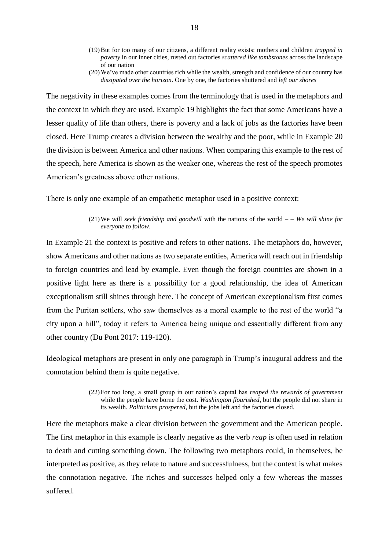- (19)But for too many of our citizens, a different reality exists: mothers and children *trapped in poverty* in our inner cities, rusted out factories *scattered like tombstones* across the landscape of our nation
- (20)We've made other countries rich while the wealth, strength and confidence of our country has *dissipated over the horizon*. One by one, the factories shuttered and *left our shores*

The negativity in these examples comes from the terminology that is used in the metaphors and the context in which they are used. Example 19 highlights the fact that some Americans have a lesser quality of life than others, there is poverty and a lack of jobs as the factories have been closed. Here Trump creates a division between the wealthy and the poor, while in Example 20 the division is between America and other nations. When comparing this example to the rest of the speech, here America is shown as the weaker one, whereas the rest of the speech promotes American's greatness above other nations.

There is only one example of an empathetic metaphor used in a positive context:

#### (21)We will *seek friendship and goodwill* with the nations of the world – – *We will shine for everyone to follow*.

In Example 21 the context is positive and refers to other nations. The metaphors do, however, show Americans and other nations as two separate entities, America will reach out in friendship to foreign countries and lead by example. Even though the foreign countries are shown in a positive light here as there is a possibility for a good relationship, the idea of American exceptionalism still shines through here. The concept of American exceptionalism first comes from the Puritan settlers, who saw themselves as a moral example to the rest of the world "a city upon a hill", today it refers to America being unique and essentially different from any other country (Du Pont 2017: 119-120).

Ideological metaphors are present in only one paragraph in Trump's inaugural address and the connotation behind them is quite negative.

> (22)For too long, a small group in our nation's capital has *reaped the rewards of government* while the people have borne the cost. *Washington flourished*, but the people did not share in its wealth. *Politicians prospered*, but the jobs left and the factories closed.

Here the metaphors make a clear division between the government and the American people. The first metaphor in this example is clearly negative as the verb *reap* is often used in relation to death and cutting something down. The following two metaphors could, in themselves, be interpreted as positive, as they relate to nature and successfulness, but the context is what makes the connotation negative. The riches and successes helped only a few whereas the masses suffered.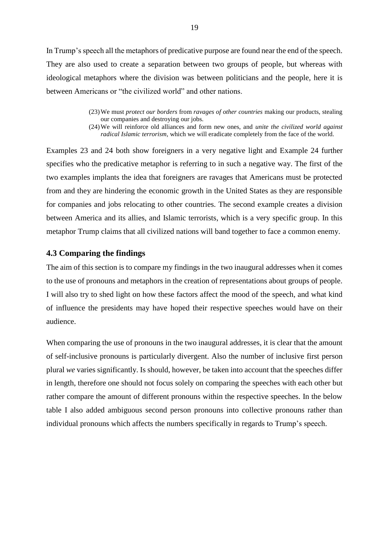In Trump's speech all the metaphors of predicative purpose are found near the end of the speech. They are also used to create a separation between two groups of people, but whereas with ideological metaphors where the division was between politicians and the people, here it is between Americans or "the civilized world" and other nations.

> (23)We must *protect our borders* from *ravages of other countries* making our products, stealing our companies and destroying our jobs.

> (24)We will reinforce old alliances and form new ones, and *unite the civilized world against radical Islamic terrorism*, which we will eradicate completely from the face of the world.

Examples 23 and 24 both show foreigners in a very negative light and Example 24 further specifies who the predicative metaphor is referring to in such a negative way. The first of the two examples implants the idea that foreigners are ravages that Americans must be protected from and they are hindering the economic growth in the United States as they are responsible for companies and jobs relocating to other countries. The second example creates a division between America and its allies, and Islamic terrorists, which is a very specific group. In this metaphor Trump claims that all civilized nations will band together to face a common enemy.

### <span id="page-19-0"></span>**4.3 Comparing the findings**

The aim of this section is to compare my findings in the two inaugural addresses when it comes to the use of pronouns and metaphors in the creation of representations about groups of people. I will also try to shed light on how these factors affect the mood of the speech, and what kind of influence the presidents may have hoped their respective speeches would have on their audience.

When comparing the use of pronouns in the two inaugural addresses, it is clear that the amount of self-inclusive pronouns is particularly divergent. Also the number of inclusive first person plural *we* varies significantly. Is should, however, be taken into account that the speeches differ in length, therefore one should not focus solely on comparing the speeches with each other but rather compare the amount of different pronouns within the respective speeches. In the below table I also added ambiguous second person pronouns into collective pronouns rather than individual pronouns which affects the numbers specifically in regards to Trump's speech.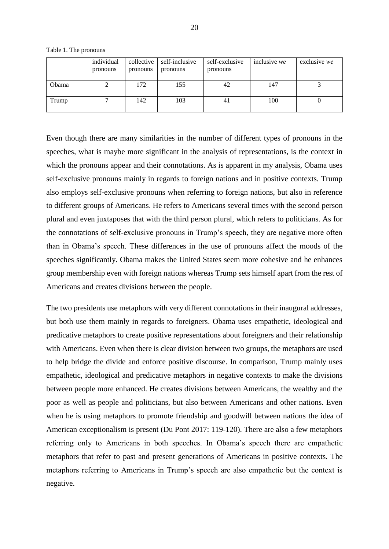|       | individual<br>pronouns | collective<br>pronouns | self-inclusive<br>pronouns | self-exclusive<br>pronouns | inclusive we | exclusive we |
|-------|------------------------|------------------------|----------------------------|----------------------------|--------------|--------------|
|       |                        |                        |                            |                            |              |              |
| Obama |                        | 172                    | 155                        | 42                         | 147          |              |
|       |                        |                        |                            |                            |              |              |
| Trump |                        | 142                    | 103                        | 41                         | 100          |              |
|       |                        |                        |                            |                            |              |              |

Table 1. The pronouns

Even though there are many similarities in the number of different types of pronouns in the speeches, what is maybe more significant in the analysis of representations, is the context in which the pronouns appear and their connotations. As is apparent in my analysis, Obama uses self-exclusive pronouns mainly in regards to foreign nations and in positive contexts. Trump also employs self-exclusive pronouns when referring to foreign nations, but also in reference to different groups of Americans. He refers to Americans several times with the second person plural and even juxtaposes that with the third person plural, which refers to politicians. As for the connotations of self-exclusive pronouns in Trump's speech, they are negative more often than in Obama's speech. These differences in the use of pronouns affect the moods of the speeches significantly. Obama makes the United States seem more cohesive and he enhances group membership even with foreign nations whereas Trump sets himself apart from the rest of Americans and creates divisions between the people.

The two presidents use metaphors with very different connotations in their inaugural addresses, but both use them mainly in regards to foreigners. Obama uses empathetic, ideological and predicative metaphors to create positive representations about foreigners and their relationship with Americans. Even when there is clear division between two groups, the metaphors are used to help bridge the divide and enforce positive discourse. In comparison, Trump mainly uses empathetic, ideological and predicative metaphors in negative contexts to make the divisions between people more enhanced. He creates divisions between Americans, the wealthy and the poor as well as people and politicians, but also between Americans and other nations. Even when he is using metaphors to promote friendship and goodwill between nations the idea of American exceptionalism is present (Du Pont 2017: 119-120). There are also a few metaphors referring only to Americans in both speeches. In Obama's speech there are empathetic metaphors that refer to past and present generations of Americans in positive contexts. The metaphors referring to Americans in Trump's speech are also empathetic but the context is negative.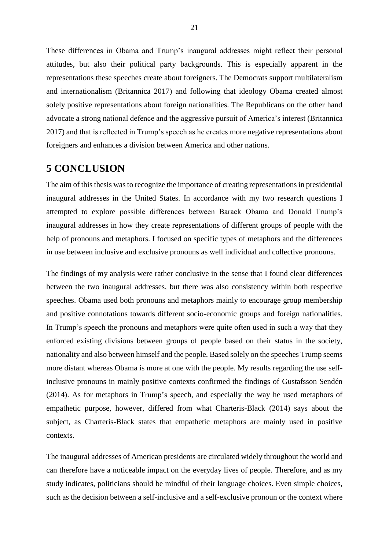These differences in Obama and Trump's inaugural addresses might reflect their personal attitudes, but also their political party backgrounds. This is especially apparent in the representations these speeches create about foreigners. The Democrats support multilateralism and internationalism [\(Britannica](https://www.britannica.com/topic/Democratic-Party#toc233982) 2017) and following that ideology Obama created almost solely positive representations about foreign nationalities. The Republicans on the other hand advocate a strong national defence and the aggressive pursuit of America's interest (Britannica 2017) and that is reflected in Trump's speech as he creates more negative representations about foreigners and enhances a division between America and other nations.

## <span id="page-21-0"></span>**5 CONCLUSION**

The aim of this thesis was to recognize the importance of creating representations in presidential inaugural addresses in the United States. In accordance with my two research questions I attempted to explore possible differences between Barack Obama and Donald Trump's inaugural addresses in how they create representations of different groups of people with the help of pronouns and metaphors. I focused on specific types of metaphors and the differences in use between inclusive and exclusive pronouns as well individual and collective pronouns.

The findings of my analysis were rather conclusive in the sense that I found clear differences between the two inaugural addresses, but there was also consistency within both respective speeches. Obama used both pronouns and metaphors mainly to encourage group membership and positive connotations towards different socio-economic groups and foreign nationalities. In Trump's speech the pronouns and metaphors were quite often used in such a way that they enforced existing divisions between groups of people based on their status in the society, nationality and also between himself and the people. Based solely on the speeches Trump seems more distant whereas Obama is more at one with the people. My results regarding the use selfinclusive pronouns in mainly positive contexts confirmed the findings of Gustafsson Sendén (2014). As for metaphors in Trump's speech, and especially the way he used metaphors of empathetic purpose, however, differed from what Charteris-Black (2014) says about the subject, as Charteris-Black states that empathetic metaphors are mainly used in positive contexts.

The inaugural addresses of American presidents are circulated widely throughout the world and can therefore have a noticeable impact on the everyday lives of people. Therefore, and as my study indicates, politicians should be mindful of their language choices. Even simple choices, such as the decision between a self-inclusive and a self-exclusive pronoun or the context where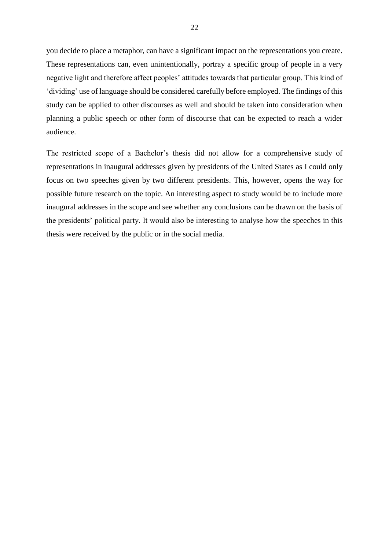you decide to place a metaphor, can have a significant impact on the representations you create. These representations can, even unintentionally, portray a specific group of people in a very negative light and therefore affect peoples' attitudes towards that particular group. This kind of 'dividing' use of language should be considered carefully before employed. The findings of this study can be applied to other discourses as well and should be taken into consideration when planning a public speech or other form of discourse that can be expected to reach a wider audience.

The restricted scope of a Bachelor's thesis did not allow for a comprehensive study of representations in inaugural addresses given by presidents of the United States as I could only focus on two speeches given by two different presidents. This, however, opens the way for possible future research on the topic. An interesting aspect to study would be to include more inaugural addresses in the scope and see whether any conclusions can be drawn on the basis of the presidents' political party. It would also be interesting to analyse how the speeches in this thesis were received by the public or in the social media.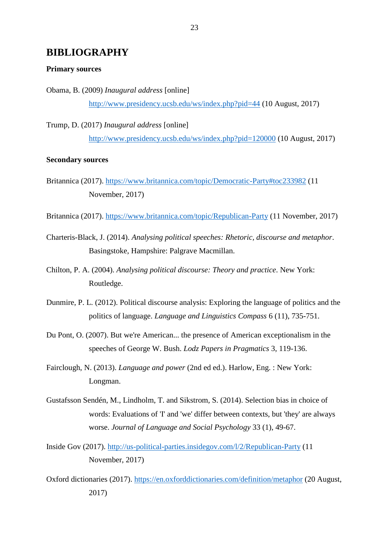# <span id="page-23-0"></span>**BIBLIOGRAPHY**

#### **Primary sources**

Obama, B. (2009) *Inaugural address* [online] <http://www.presidency.ucsb.edu/ws/index.php?pid=44> (10 August, 2017)

Trump, D. (2017) *Inaugural address* [online] <http://www.presidency.ucsb.edu/ws/index.php?pid=120000> (10 August, 2017)

## **Secondary sources**

- Britannica (2017).<https://www.britannica.com/topic/Democratic-Party#toc233982> (11 November, 2017)
- Britannica (2017). [https://www.britannica.com/topic/Republican-Party](https://www.britannica.com/topic/Republican-Party%20(11) (11 November, 2017)
- Charteris-Black, J. (2014). *Analysing political speeches: Rhetoric, discourse and metaphor*. Basingstoke, Hampshire: Palgrave Macmillan.
- Chilton, P. A. (2004). *Analysing political discourse: Theory and practice*. New York: Routledge.
- Dunmire, P. L. (2012). Political discourse analysis: Exploring the language of politics and the politics of language. *Language and Linguistics Compass* 6 (11), 735-751.
- Du Pont, O. (2007). But we're American... the presence of American exceptionalism in the speeches of George W. Bush. *Lodz Papers in Pragmatics* 3, 119-136.
- Fairclough, N. (2013). *Language and power* (2nd ed ed.). Harlow, Eng. : New York: Longman.
- Gustafsson Sendén, M., Lindholm, T. and Sikstrom, S. (2014). Selection bias in choice of words: Evaluations of 'I' and 'we' differ between contexts, but 'they' are always worse. *Journal of Language and Social Psychology* 33 (1), 49-67.
- Inside Gov (2017). [http://us-political-parties.insidegov.com/l/2/Republican-Party](http://us-political-parties.insidegov.com/l/2/Republican-Party%20(11) (11 November, 2017)
- Oxford dictionaries (2017).<https://en.oxforddictionaries.com/definition/metaphor> (20 August, 2017)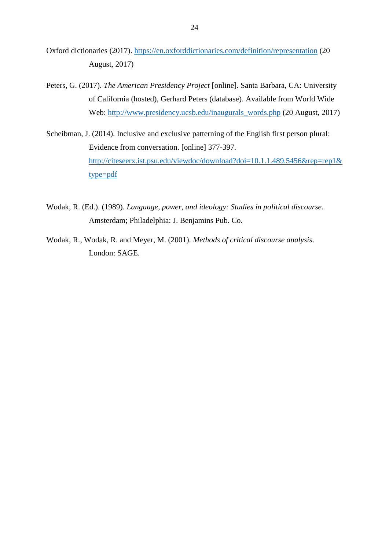- Oxford dictionaries (2017).<https://en.oxforddictionaries.com/definition/representation> (20 August, 2017)
- Peters, G. (2017). *The American Presidency Project* [online]. Santa Barbara, CA: University of California (hosted), Gerhard Peters (database). Available from World Wide Web: [http://www.presidency.ucsb.edu/inaugurals\\_words.php](http://www.presidency.ucsb.edu/inaugurals_words.php%20(20) (20 August, 2017)
- Scheibman, J. (2014). Inclusive and exclusive patterning of the English first person plural: Evidence from conversation. [online] 377-397. [http://citeseerx.ist.psu.edu/viewdoc/download?doi=10.1.1.489.5456&rep=rep1&](http://citeseerx.ist.psu.edu/viewdoc/download?doi=10.1.1.489.5456&rep=rep1&type=pdf) [type=pdf](http://citeseerx.ist.psu.edu/viewdoc/download?doi=10.1.1.489.5456&rep=rep1&type=pdf)
- Wodak, R. (Ed.). (1989). *Language, power, and ideology: Studies in political discourse*. Amsterdam; Philadelphia: J. Benjamins Pub. Co.
- Wodak, R., Wodak, R. and Meyer, M. (2001). *Methods of critical discourse analysis*. London: SAGE.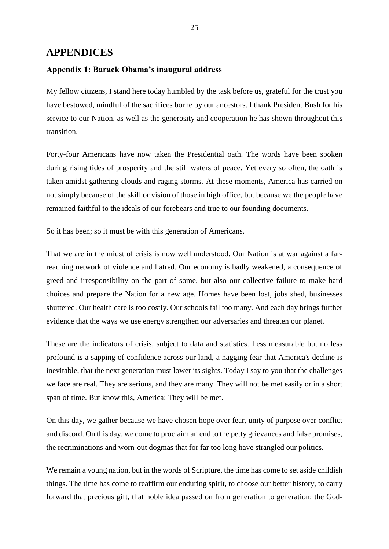## <span id="page-25-0"></span>**APPENDICES**

## **Appendix 1: Barack Obama's inaugural address**

My fellow citizens, I stand here today humbled by the task before us, grateful for the trust you have bestowed, mindful of the sacrifices borne by our ancestors. I thank President Bush for his service to our Nation, as well as the generosity and cooperation he has shown throughout this transition.

Forty-four Americans have now taken the Presidential oath. The words have been spoken during rising tides of prosperity and the still waters of peace. Yet every so often, the oath is taken amidst gathering clouds and raging storms. At these moments, America has carried on not simply because of the skill or vision of those in high office, but because we the people have remained faithful to the ideals of our forebears and true to our founding documents.

So it has been; so it must be with this generation of Americans.

That we are in the midst of crisis is now well understood. Our Nation is at war against a farreaching network of violence and hatred. Our economy is badly weakened, a consequence of greed and irresponsibility on the part of some, but also our collective failure to make hard choices and prepare the Nation for a new age. Homes have been lost, jobs shed, businesses shuttered. Our health care is too costly. Our schools fail too many. And each day brings further evidence that the ways we use energy strengthen our adversaries and threaten our planet.

These are the indicators of crisis, subject to data and statistics. Less measurable but no less profound is a sapping of confidence across our land, a nagging fear that America's decline is inevitable, that the next generation must lower its sights. Today I say to you that the challenges we face are real. They are serious, and they are many. They will not be met easily or in a short span of time. But know this, America: They will be met.

On this day, we gather because we have chosen hope over fear, unity of purpose over conflict and discord. On this day, we come to proclaim an end to the petty grievances and false promises, the recriminations and worn-out dogmas that for far too long have strangled our politics.

We remain a young nation, but in the words of Scripture, the time has come to set aside childish things. The time has come to reaffirm our enduring spirit, to choose our better history, to carry forward that precious gift, that noble idea passed on from generation to generation: the God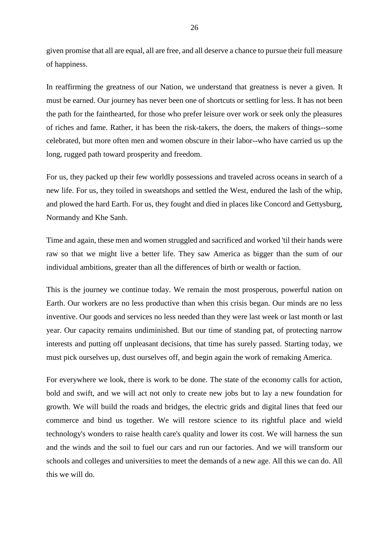given promise that all are equal, all are free, and all deserve a chance to pursue their full measure of happiness.

In reaffirming the greatness of our Nation, we understand that greatness is never a given. It must be earned. Our journey has never been one of shortcuts or settling for less. It has not been the path for the fainthearted, for those who prefer leisure over work or seek only the pleasures of riches and fame. Rather, it has been the risk-takers, the doers, the makers of things--some celebrated, but more often men and women obscure in their labor--who have carried us up the long, rugged path toward prosperity and freedom.

For us, they packed up their few worldly possessions and traveled across oceans in search of a new life. For us, they toiled in sweatshops and settled the West, endured the lash of the whip, and plowed the hard Earth. For us, they fought and died in places like Concord and Gettysburg, Normandy and Khe Sanh.

Time and again, these men and women struggled and sacrificed and worked 'til their hands were raw so that we might live a better life. They saw America as bigger than the sum of our individual ambitions, greater than all the differences of birth or wealth or faction.

This is the journey we continue today. We remain the most prosperous, powerful nation on Earth. Our workers are no less productive than when this crisis began. Our minds are no less inventive. Our goods and services no less needed than they were last week or last month or last year. Our capacity remains undiminished. But our time of standing pat, of protecting narrow interests and putting off unpleasant decisions, that time has surely passed. Starting today, we must pick ourselves up, dust ourselves off, and begin again the work of remaking America.

For everywhere we look, there is work to be done. The state of the economy calls for action, bold and swift, and we will act not only to create new jobs but to lay a new foundation for growth. We will build the roads and bridges, the electric grids and digital lines that feed our commerce and bind us together. We will restore science to its rightful place and wield technology's wonders to raise health care's quality and lower its cost. We will harness the sun and the winds and the soil to fuel our cars and run our factories. And we will transform our schools and colleges and universities to meet the demands of a new age. All this we can do. All this we will do.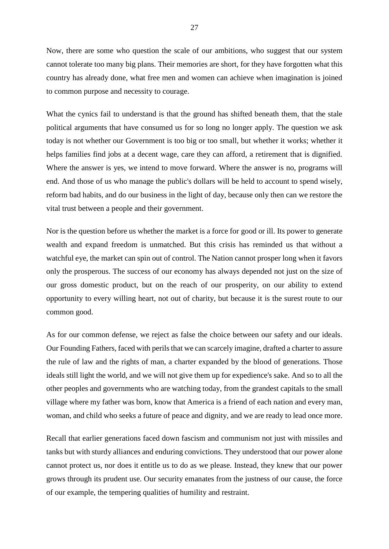Now, there are some who question the scale of our ambitions, who suggest that our system cannot tolerate too many big plans. Their memories are short, for they have forgotten what this country has already done, what free men and women can achieve when imagination is joined to common purpose and necessity to courage.

What the cynics fail to understand is that the ground has shifted beneath them, that the stale political arguments that have consumed us for so long no longer apply. The question we ask today is not whether our Government is too big or too small, but whether it works; whether it helps families find jobs at a decent wage, care they can afford, a retirement that is dignified. Where the answer is yes, we intend to move forward. Where the answer is no, programs will end. And those of us who manage the public's dollars will be held to account to spend wisely, reform bad habits, and do our business in the light of day, because only then can we restore the vital trust between a people and their government.

Nor is the question before us whether the market is a force for good or ill. Its power to generate wealth and expand freedom is unmatched. But this crisis has reminded us that without a watchful eye, the market can spin out of control. The Nation cannot prosper long when it favors only the prosperous. The success of our economy has always depended not just on the size of our gross domestic product, but on the reach of our prosperity, on our ability to extend opportunity to every willing heart, not out of charity, but because it is the surest route to our common good.

As for our common defense, we reject as false the choice between our safety and our ideals. Our Founding Fathers, faced with perils that we can scarcely imagine, drafted a charter to assure the rule of law and the rights of man, a charter expanded by the blood of generations. Those ideals still light the world, and we will not give them up for expedience's sake. And so to all the other peoples and governments who are watching today, from the grandest capitals to the small village where my father was born, know that America is a friend of each nation and every man, woman, and child who seeks a future of peace and dignity, and we are ready to lead once more.

Recall that earlier generations faced down fascism and communism not just with missiles and tanks but with sturdy alliances and enduring convictions. They understood that our power alone cannot protect us, nor does it entitle us to do as we please. Instead, they knew that our power grows through its prudent use. Our security emanates from the justness of our cause, the force of our example, the tempering qualities of humility and restraint.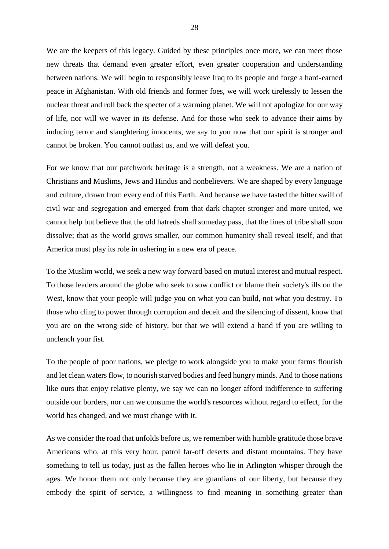We are the keepers of this legacy. Guided by these principles once more, we can meet those new threats that demand even greater effort, even greater cooperation and understanding between nations. We will begin to responsibly leave Iraq to its people and forge a hard-earned peace in Afghanistan. With old friends and former foes, we will work tirelessly to lessen the nuclear threat and roll back the specter of a warming planet. We will not apologize for our way of life, nor will we waver in its defense. And for those who seek to advance their aims by inducing terror and slaughtering innocents, we say to you now that our spirit is stronger and cannot be broken. You cannot outlast us, and we will defeat you.

For we know that our patchwork heritage is a strength, not a weakness. We are a nation of Christians and Muslims, Jews and Hindus and nonbelievers. We are shaped by every language and culture, drawn from every end of this Earth. And because we have tasted the bitter swill of civil war and segregation and emerged from that dark chapter stronger and more united, we cannot help but believe that the old hatreds shall someday pass, that the lines of tribe shall soon dissolve; that as the world grows smaller, our common humanity shall reveal itself, and that America must play its role in ushering in a new era of peace.

To the Muslim world, we seek a new way forward based on mutual interest and mutual respect. To those leaders around the globe who seek to sow conflict or blame their society's ills on the West, know that your people will judge you on what you can build, not what you destroy. To those who cling to power through corruption and deceit and the silencing of dissent, know that you are on the wrong side of history, but that we will extend a hand if you are willing to unclench your fist.

To the people of poor nations, we pledge to work alongside you to make your farms flourish and let clean waters flow, to nourish starved bodies and feed hungry minds. And to those nations like ours that enjoy relative plenty, we say we can no longer afford indifference to suffering outside our borders, nor can we consume the world's resources without regard to effect, for the world has changed, and we must change with it.

As we consider the road that unfolds before us, we remember with humble gratitude those brave Americans who, at this very hour, patrol far-off deserts and distant mountains. They have something to tell us today, just as the fallen heroes who lie in Arlington whisper through the ages. We honor them not only because they are guardians of our liberty, but because they embody the spirit of service, a willingness to find meaning in something greater than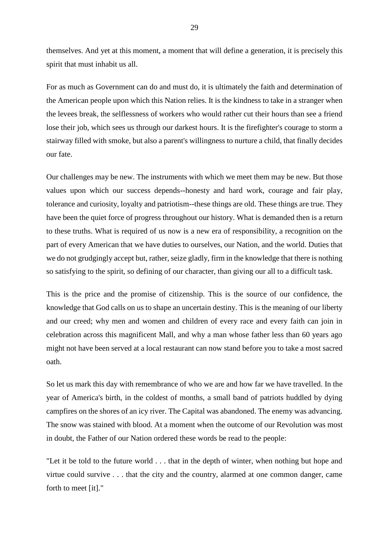themselves. And yet at this moment, a moment that will define a generation, it is precisely this spirit that must inhabit us all.

For as much as Government can do and must do, it is ultimately the faith and determination of the American people upon which this Nation relies. It is the kindness to take in a stranger when the levees break, the selflessness of workers who would rather cut their hours than see a friend lose their job, which sees us through our darkest hours. It is the firefighter's courage to storm a stairway filled with smoke, but also a parent's willingness to nurture a child, that finally decides our fate.

Our challenges may be new. The instruments with which we meet them may be new. But those values upon which our success depends--honesty and hard work, courage and fair play, tolerance and curiosity, loyalty and patriotism--these things are old. These things are true. They have been the quiet force of progress throughout our history. What is demanded then is a return to these truths. What is required of us now is a new era of responsibility, a recognition on the part of every American that we have duties to ourselves, our Nation, and the world. Duties that we do not grudgingly accept but, rather, seize gladly, firm in the knowledge that there is nothing so satisfying to the spirit, so defining of our character, than giving our all to a difficult task.

This is the price and the promise of citizenship. This is the source of our confidence, the knowledge that God calls on us to shape an uncertain destiny. This is the meaning of our liberty and our creed; why men and women and children of every race and every faith can join in celebration across this magnificent Mall, and why a man whose father less than 60 years ago might not have been served at a local restaurant can now stand before you to take a most sacred oath.

So let us mark this day with remembrance of who we are and how far we have travelled. In the year of America's birth, in the coldest of months, a small band of patriots huddled by dying campfires on the shores of an icy river. The Capital was abandoned. The enemy was advancing. The snow was stained with blood. At a moment when the outcome of our Revolution was most in doubt, the Father of our Nation ordered these words be read to the people:

"Let it be told to the future world . . . that in the depth of winter, when nothing but hope and virtue could survive . . . that the city and the country, alarmed at one common danger, came forth to meet [it]."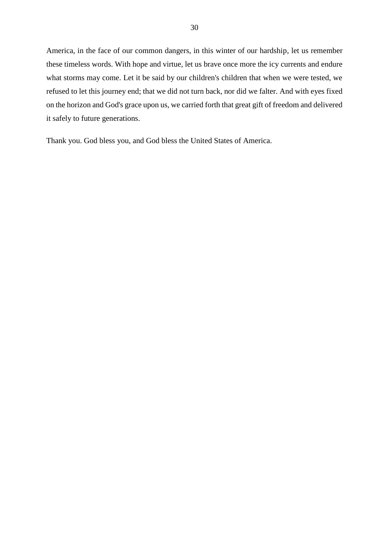America, in the face of our common dangers, in this winter of our hardship, let us remember these timeless words. With hope and virtue, let us brave once more the icy currents and endure what storms may come. Let it be said by our children's children that when we were tested, we refused to let this journey end; that we did not turn back, nor did we falter. And with eyes fixed on the horizon and God's grace upon us, we carried forth that great gift of freedom and delivered it safely to future generations.

Thank you. God bless you, and God bless the United States of America.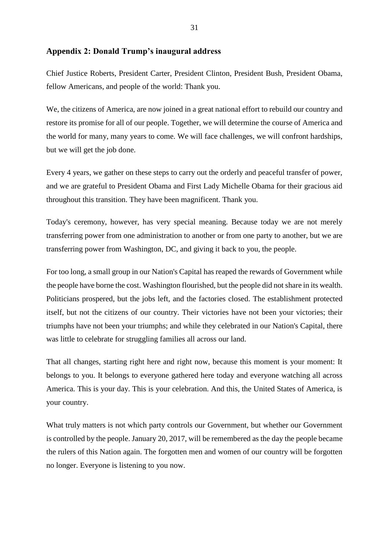## **Appendix 2: Donald Trump's inaugural address**

Chief Justice Roberts, President Carter, President Clinton, President Bush, President Obama, fellow Americans, and people of the world: Thank you.

We, the citizens of America, are now joined in a great national effort to rebuild our country and restore its promise for all of our people. Together, we will determine the course of America and the world for many, many years to come. We will face challenges, we will confront hardships, but we will get the job done.

Every 4 years, we gather on these steps to carry out the orderly and peaceful transfer of power, and we are grateful to President Obama and First Lady Michelle Obama for their gracious aid throughout this transition. They have been magnificent. Thank you.

Today's ceremony, however, has very special meaning. Because today we are not merely transferring power from one administration to another or from one party to another, but we are transferring power from Washington, DC, and giving it back to you, the people.

For too long, a small group in our Nation's Capital has reaped the rewards of Government while the people have borne the cost. Washington flourished, but the people did not share in its wealth. Politicians prospered, but the jobs left, and the factories closed. The establishment protected itself, but not the citizens of our country. Their victories have not been your victories; their triumphs have not been your triumphs; and while they celebrated in our Nation's Capital, there was little to celebrate for struggling families all across our land.

That all changes, starting right here and right now, because this moment is your moment: It belongs to you. It belongs to everyone gathered here today and everyone watching all across America. This is your day. This is your celebration. And this, the United States of America, is your country.

What truly matters is not which party controls our Government, but whether our Government is controlled by the people. January 20, 2017, will be remembered as the day the people became the rulers of this Nation again. The forgotten men and women of our country will be forgotten no longer. Everyone is listening to you now.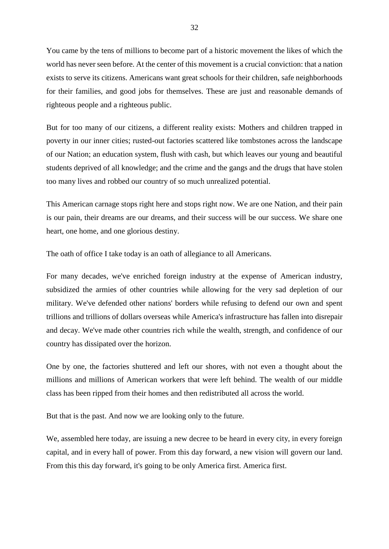You came by the tens of millions to become part of a historic movement the likes of which the world has never seen before. At the center of this movement is a crucial conviction: that a nation exists to serve its citizens. Americans want great schools for their children, safe neighborhoods for their families, and good jobs for themselves. These are just and reasonable demands of righteous people and a righteous public.

But for too many of our citizens, a different reality exists: Mothers and children trapped in poverty in our inner cities; rusted-out factories scattered like tombstones across the landscape of our Nation; an education system, flush with cash, but which leaves our young and beautiful students deprived of all knowledge; and the crime and the gangs and the drugs that have stolen too many lives and robbed our country of so much unrealized potential.

This American carnage stops right here and stops right now. We are one Nation, and their pain is our pain, their dreams are our dreams, and their success will be our success. We share one heart, one home, and one glorious destiny.

The oath of office I take today is an oath of allegiance to all Americans.

For many decades, we've enriched foreign industry at the expense of American industry, subsidized the armies of other countries while allowing for the very sad depletion of our military. We've defended other nations' borders while refusing to defend our own and spent trillions and trillions of dollars overseas while America's infrastructure has fallen into disrepair and decay. We've made other countries rich while the wealth, strength, and confidence of our country has dissipated over the horizon.

One by one, the factories shuttered and left our shores, with not even a thought about the millions and millions of American workers that were left behind. The wealth of our middle class has been ripped from their homes and then redistributed all across the world.

But that is the past. And now we are looking only to the future.

We, assembled here today, are issuing a new decree to be heard in every city, in every foreign capital, and in every hall of power. From this day forward, a new vision will govern our land. From this this day forward, it's going to be only America first. America first.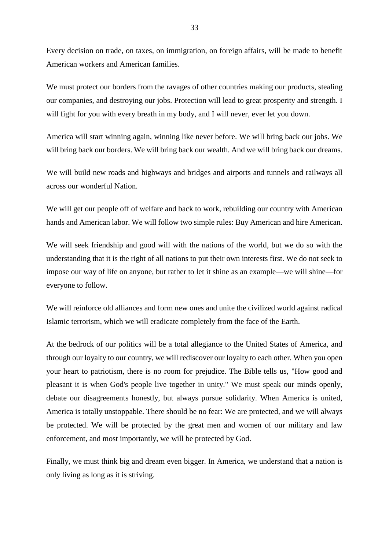Every decision on trade, on taxes, on immigration, on foreign affairs, will be made to benefit American workers and American families.

We must protect our borders from the ravages of other countries making our products, stealing our companies, and destroying our jobs. Protection will lead to great prosperity and strength. I will fight for you with every breath in my body, and I will never, ever let you down.

America will start winning again, winning like never before. We will bring back our jobs. We will bring back our borders. We will bring back our wealth. And we will bring back our dreams.

We will build new roads and highways and bridges and airports and tunnels and railways all across our wonderful Nation.

We will get our people off of welfare and back to work, rebuilding our country with American hands and American labor. We will follow two simple rules: Buy American and hire American.

We will seek friendship and good will with the nations of the world, but we do so with the understanding that it is the right of all nations to put their own interests first. We do not seek to impose our way of life on anyone, but rather to let it shine as an example—we will shine—for everyone to follow.

We will reinforce old alliances and form new ones and unite the civilized world against radical Islamic terrorism, which we will eradicate completely from the face of the Earth.

At the bedrock of our politics will be a total allegiance to the United States of America, and through our loyalty to our country, we will rediscover our loyalty to each other. When you open your heart to patriotism, there is no room for prejudice. The Bible tells us, "How good and pleasant it is when God's people live together in unity." We must speak our minds openly, debate our disagreements honestly, but always pursue solidarity. When America is united, America is totally unstoppable. There should be no fear: We are protected, and we will always be protected. We will be protected by the great men and women of our military and law enforcement, and most importantly, we will be protected by God.

Finally, we must think big and dream even bigger. In America, we understand that a nation is only living as long as it is striving.